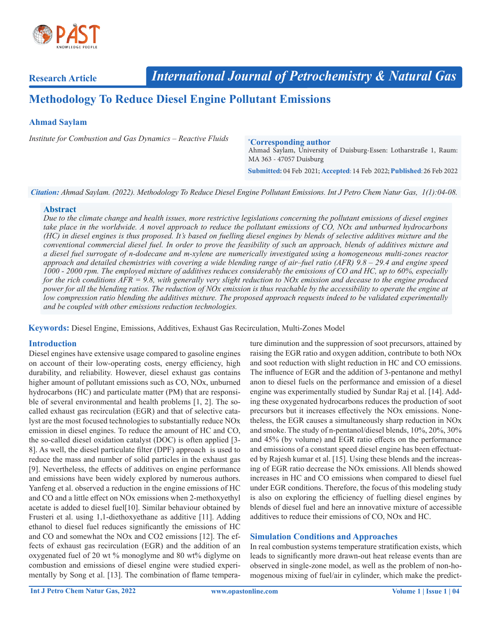

**Research Article**

# **Methodology To Reduce Diesel Engine Pollutant Emissions**

## **Ahmad Saylam**

*Institute for Combustion and Gas Dynamics – Reactive Fluids*

#### **\* Corresponding author**

Ahmad Saylam, University of Duisburg-Essen: Lotharstraße 1, Raum: MA 363 - 47057 Duisburg

**Submitted:** 04 Feb 2021; **Accepted**: 14 Feb 2022; **Published**:26 Feb 2022

*Citation: Ahmad Saylam. (2022). Methodology To Reduce Diesel Engine Pollutant Emissions. Int J Petro Chem Natur Gas, 1(1):04-08.*

#### **Abstract**

*Due to the climate change and health issues, more restrictive legislations concerning the pollutant emissions of diesel engines take place in the worldwide. A novel approach to reduce the pollutant emissions of CO, NOx and unburned hydrocarbons (HC) in diesel engines is thus proposed. It's based on fuelling diesel engines by blends of selective additives mixture and the conventional commercial diesel fuel. In order to prove the feasibility of such an approach, blends of additives mixture and a diesel fuel surrogate of n-dodecane and m-xylene are numerically investigated using a homogeneous multi-zones reactor approach and detailed chemistries with covering a wide blending range of air–fuel ratio (AFR) 9.8 – 29.4 and engine speed 1000 - 2000 rpm. The employed mixture of additives reduces considerably the emissions of CO and HC, up to 60%, especially for the rich conditions AFR = 9.8, with generally very slight reduction to NOx emission and decease to the engine produced power for all the blending ratios. The reduction of NOx emission is thus reachable by the accessibility to operate the engine at low compression ratio blending the additives mixture. The proposed approach requests indeed to be validated experimentally and be coupled with other emissions reduction technologies.*

**Keywords:** Diesel Engine, Emissions, Additives, Exhaust Gas Recirculation, Multi-Zones Model

## **Introduction**

Diesel engines have extensive usage compared to gasoline engines on account of their low-operating costs, energy efficiency, high durability, and reliability. However, diesel exhaust gas contains higher amount of pollutant emissions such as CO, NOx, unburned hydrocarbons (HC) and particulate matter (PM) that are responsible of several environmental and health problems [1, 2]. The socalled exhaust gas recirculation (EGR) and that of selective catalyst are the most focused technologies to substantially reduce NOx emission in diesel engines. To reduce the amount of HC and CO, the so-called diesel oxidation catalyst (DOC) is often applied [3- 8]. As well, the diesel particulate filter (DPF) approach is used to reduce the mass and number of solid particles in the exhaust gas [9]. Nevertheless, the effects of additives on engine performance and emissions have been widely explored by numerous authors. Yanfeng et al. observed a reduction in the engine emissions of HC and CO and a little effect on NOx emissions when 2-methoxyethyl acetate is added to diesel fuel[10]. Similar behaviour obtained by Frusteri et al. using 1,1-diethoxyethane as additive [11]. Adding ethanol to diesel fuel reduces significantly the emissions of HC and CO and somewhat the NOx and CO2 emissions [12]. The effects of exhaust gas recirculation (EGR) and the addition of an oxygenated fuel of 20 wt % monoglyme and 80 wt% diglyme on combustion and emissions of diesel engine were studied experimentally by Song et al. [13]. The combination of flame temperature diminution and the suppression of soot precursors, attained by raising the EGR ratio and oxygen addition, contribute to both NOx and soot reduction with slight reduction in HC and CO emissions. The influence of EGR and the addition of 3-pentanone and methyl anon to diesel fuels on the performance and emission of a diesel engine was experimentally studied by Sundar Raj et al. [14]. Adding these oxygenated hydrocarbons reduces the production of soot precursors but it increases effectively the NOx emissions. Nonetheless, the EGR causes a simultaneously sharp reduction in NOx and smoke. The study of n-pentanol/diesel blends, 10%, 20%, 30% and 45% (by volume) and EGR ratio effects on the performance and emissions of a constant speed diesel engine has been effectuated by Rajesh kumar et al. [15]. Using these blends and the increasing of EGR ratio decrease the NOx emissions. All blends showed increases in HC and CO emissions when compared to diesel fuel under EGR conditions. Therefore, the focus of this modeling study is also on exploring the efficiency of fuelling diesel engines by blends of diesel fuel and here an innovative mixture of accessible additives to reduce their emissions of CO, NOx and HC.

## **Simulation Conditions and Approaches**

In real combustion systems temperature stratification exists, which leads to significantly more drawn-out heat release events than are observed in single-zone model, as well as the problem of non-homogenous mixing of fuel/air in cylinder, which make the predict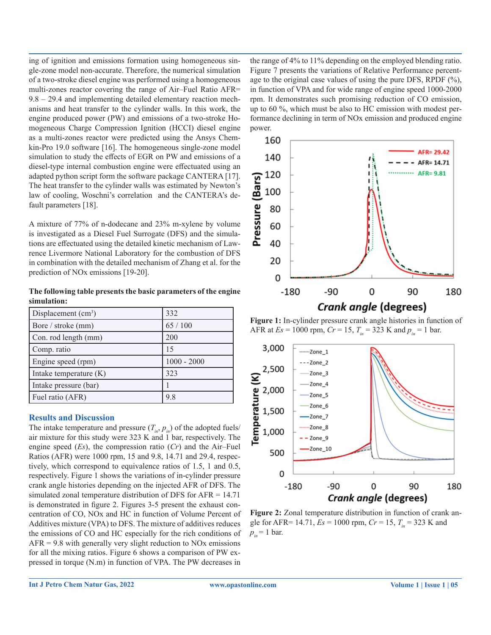ing of ignition and emissions formation using homogeneous single-zone model non-accurate. Therefore, the numerical simulation of a two-stroke diesel engine was performed using a homogeneous multi-zones reactor covering the range of Air–Fuel Ratio AFR= 9.8 – 29.4 and implementing detailed elementary reaction mechanisms and heat transfer to the cylinder walls. In this work, the engine produced power (PW) and emissions of a two-stroke Homogeneous Charge Compression Ignition (HCCI) diesel engine as a multi-zones reactor were predicted using the Ansys Chemkin-Pro 19.0 software [16]. The homogeneous single-zone model simulation to study the effects of EGR on PW and emissions of a diesel-type internal combustion engine were effectuated using an adapted python script form the software package CANTERA [17]. The heat transfer to the cylinder walls was estimated by Newton's law of cooling, Woschni's correlation and the CANTERA's default parameters [18].

A mixture of 77% of n-dodecane and 23% m-xylene by volume is investigated as a Diesel Fuel Surrogate (DFS) and the simulations are effectuated using the detailed kinetic mechanism of Lawrence Livermore National Laboratory for the combustion of DFS in combination with the detailed mechanism of Zhang et al. for the prediction of NOx emissions [19-20].

**The following table presents the basic parameters of the engine simulation:**

| Displacement $(cm3)$   | 332           |
|------------------------|---------------|
| Bore / stroke (mm)     | 65 / 100      |
| Con. rod length (mm)   | 200           |
| Comp. ratio            | 15            |
| Engine speed (rpm)     | $1000 - 2000$ |
| Intake temperature (K) | 323           |
| Intake pressure (bar)  |               |
| Fuel ratio (AFR)       | 9.8           |

# **Results and Discussion**

The intake temperature and pressure  $(T_{in}, p_{in})$  of the adopted fuels/ air mixture for this study were 323 K and 1 bar, respectively. The engine speed (*Es*), the compression ratio (*Cr*) and the Air–Fuel Ratios (AFR) were 1000 rpm, 15 and 9.8, 14.71 and 29.4, respectively, which correspond to equivalence ratios of 1.5, 1 and 0.5, respectively. Figure 1 shows the variations of in-cylinder pressure crank angle histories depending on the injected AFR of DFS. The simulated zonal temperature distribution of DFS for AFR = 14.71 is demonstrated in figure 2. Figures 3-5 present the exhaust concentration of CO, NOx and HC in function of Volume Percent of Additives mixture (VPA) to DFS. The mixture of additives reduces the emissions of CO and HC especially for the rich conditions of  $AFR = 9.8$  with generally very slight reduction to NOx emissions for all the mixing ratios. Figure 6 shows a comparison of PW expressed in torque (N.m) in function of VPA. The PW decreases in

the range of 4% to 11% depending on the employed blending ratio. Figure 7 presents the variations of Relative Performance percentage to the original case values of using the pure DFS, RPDF (%), in function of VPA and for wide range of engine speed 1000-2000 rpm. It demonstrates such promising reduction of CO emission, up to 60 %, which must be also to HC emission with modest performance declining in term of NOx emission and produced engine power.



**Figure 1:** In-cylinder pressure crank angle histories in function of AFR at  $Es = 1000$  rpm,  $Cr = 15$ ,  $T_{in} = 323$  K and  $p_{in} = 1$  bar.



**Figure 2:** Zonal temperature distribution in function of crank angle for AFR= 14.71,  $Es = 1000$  rpm,  $Cr = 15$ ,  $T_{in} = 323$  K and  $p_{in} = 1$  bar.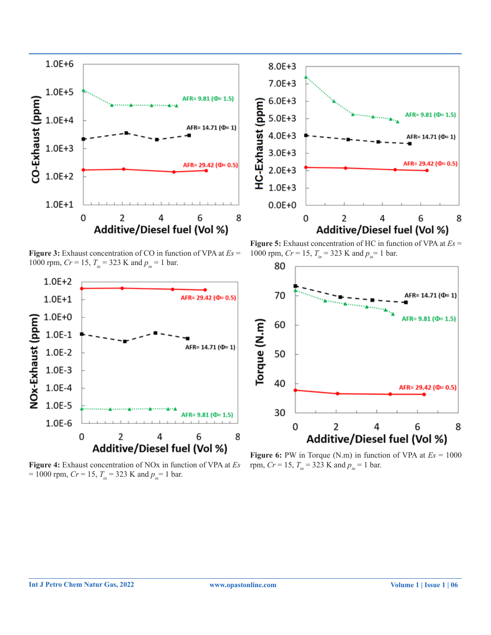



**Figure 3:** Exhaust concentration of CO in function of VPA at *Es* = 1000 rpm,  $Cr = 15$ ,  $T_{in} = 323$  K and  $p_{in} = 1$  bar.



**Figure 4:** Exhaust concentration of NOx in function of VPA at *Es*   $= 1000$  rpm, *Cr* = 15,  $T_{in}$  = 323 K and  $p_{in}$  = 1 bar.

**Figure 5:** Exhaust concentration of HC in function of VPA at *Es* = 1000 rpm,  $Cr = 15$ ,  $T_{in} = 323$  K and  $p_{in} = 1$  bar.



**Figure 6:** PW in Torque (N.m) in function of VPA at  $Es = 1000$ rpm,  $Cr = 15$ ,  $T_{in} = 323$  K and  $p_{in} = 1$  bar.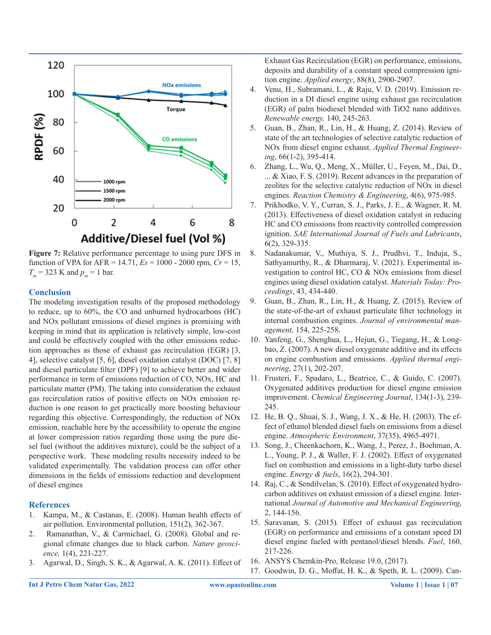

**Figure 7:** Relative performance percentage to using pure DFS in function of VPA for AFR = 14.71, *Es* = 1000 - 2000 rpm, *Cr* = 15,  $T_{in}$  = 323 K and  $p_{in}$  = 1 bar.

### **Conclusion**

The modeling investigation results of the proposed methodology to reduce, up to 60%, the CO and unburned hydrocarbons (HC) and NOx pollutant emissions of diesel engines is promising with keeping in mind that its application is relatively simple, low-cost and could be effectively coupled with the other emissions reduction approaches as those of exhaust gas recirculation (EGR) [3, 4], selective catalyst [5, 6], diesel oxidation catalyst (DOC) [7, 8] and diesel particulate filter (DPF) [9] to achieve better and wider performance in term of emissions reduction of CO, NOx, HC and particulate matter (PM). The taking into consideration the exhaust gas recirculation ratios of positive effects on NOx emission reduction is one reason to get practically more boosting behaviour regarding this objective. Correspondingly, the reduction of NOx emission, reachable here by the accessibility to operate the engine at lower compression ratios regarding those using the pure diesel fuel (without the additives mixture), could be the subject of a perspective work. These modeling results necessity indeed to be validated experimentally. The validation process can offer other dimensions in the fields of emissions reduction and development of diesel engines

#### **References**

- 1. Kampa, M., & Castanas, E. (2008). Human health effects of air pollution. Environmental pollution, 151(2), 362-367.
- 2. Ramanathan, V., & Carmichael, G. (2008). Global and regional climate changes due to black carbon. *Nature geoscience,* 1(4), 221-227.
- 3. Agarwal, D., Singh, S. K., & Agarwal, A. K. (2011). Effect of

Exhaust Gas Recirculation (EGR) on performance, emissions, deposits and durability of a constant speed compression ignition engine. *Applied energy*, 88(8), 2900-2907.

- 4. Venu, H., Subramani, L., & Raju, V. D. (2019). Emission reduction in a DI diesel engine using exhaust gas recirculation (EGR) of palm biodiesel blended with TiO2 nano additives. *Renewable energy,* 140, 245-263.
- 5. Guan, B., Zhan, R., Lin, H., & Huang, Z. (2014). Review of state of the art technologies of selective catalytic reduction of NOx from diesel engine exhaust. *Applied Thermal Engineering*, 66(1-2), 395-414.
- 6. Zhang, L., Wu, Q., Meng, X., Müller, U., Feyen, M., Dai, D., ... & Xiao, F. S. (2019). Recent advances in the preparation of zeolites for the selective catalytic reduction of NOx in diesel engines. *Reaction Chemistry & Engineering*, 4(6), 975-985.
- 7. Prikhodko, V. Y., Curran, S. J., Parks, J. E., & Wagner, R. M. (2013). Effectiveness of diesel oxidation catalyst in reducing HC and CO emissions from reactivity controlled compression ignition. *SAE International Journal of Fuels and Lubricants*, 6(2), 329-335.
- 8. Nadanakumar, V., Muthiya, S. J., Prudhvi, T., Induja, S., Sathyamurthy, R., & Dharmaraj, V. (2021). Experimental investigation to control HC, CO & NOx emissions from diesel engines using diesel oxidation catalyst. *Materials Today: Proceedings*, 43, 434-440.
- 9. Guan, B., Zhan, R., Lin, H., & Huang, Z. (2015). Review of the state-of-the-art of exhaust particulate filter technology in internal combustion engines. *Journal of environmental management,* 154, 225-258.
- 10. Yanfeng, G., Shenghua, L., Hejun, G., Tiegang, H., & Longbao, Z. (2007). A new diesel oxygenate additive and its effects on engine combustion and emissions. *Applied thermal engineering*, 27(1), 202-207.
- 11. Frusteri, F., Spadaro, L., Beatrice, C., & Guido, C. (2007). Oxygenated additives production for diesel engine emission improvement. *Chemical Engineering Journal*, 134(1-3), 239- 245.
- 12. He, B. Q., Shuai, S. J., Wang, J. X., & He, H. (2003). The effect of ethanol blended diesel fuels on emissions from a diesel engine. *Atmospheric Environment*, 37(35), 4965-4971.
- 13. Song, J., Cheenkachorn, K., Wang, J., Perez, J., Boehman, A. L., Young, P. J., & Waller, F. J. (2002). Effect of oxygenated fuel on combustion and emissions in a light-duty turbo diesel engine. *Energy & fuels*, 16(2), 294-301.
- 14. Raj, C., & Sendilvelan, S. (2010). Effect of oxygenated hydrocarbon additives on exhaust emission of a diesel engine. International *Journal of Automotive and Mechanical Engineering*, 2, 144-156.
- 15. Saravanan, S. (2015). Effect of exhaust gas recirculation (EGR) on performance and emissions of a constant speed DI diesel engine fueled with pentanol/diesel blends. *Fuel*, 160, 217-226.
- 16. ANSYS Chemkin-Pro, Release 19.0, (2017).
- 17. Goodwin, D. G., Moffat, H. K., & Speth, R. L. (2009). Can-